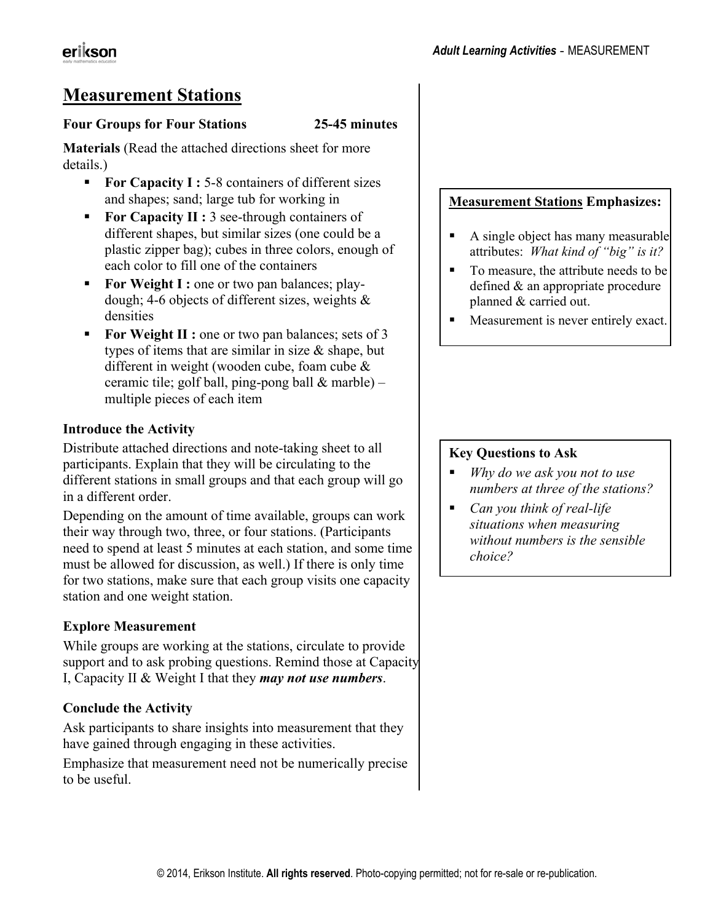## **Measurement Stations**

#### **Four Groups for Four Stations 25-45 minutes**

**Materials** (Read the attached directions sheet for more details.)

- **For Capacity I :** 5-8 containers of different sizes and shapes; sand; large tub for working in
- **For Capacity II :** 3 see-through containers of different shapes, but similar sizes (one could be a plastic zipper bag); cubes in three colors, enough of each color to fill one of the containers
- **For Weight I :** one or two pan balances; playdough; 4-6 objects of different sizes, weights & densities
- **For Weight II :** one or two pan balances; sets of 3 types of items that are similar in size  $\&$  shape, but different in weight (wooden cube, foam cube & ceramic tile; golf ball, ping-pong ball  $&$  marble) – multiple pieces of each item

#### **Introduce the Activity**

Distribute attached directions and note-taking sheet to all participants. Explain that they will be circulating to the different stations in small groups and that each group will go in a different order.

Depending on the amount of time available, groups can work their way through two, three, or four stations. (Participants need to spend at least 5 minutes at each station, and some time must be allowed for discussion, as well.) If there is only time for two stations, make sure that each group visits one capacity station and one weight station.

#### **Explore Measurement**

While groups are working at the stations, circulate to provide support and to ask probing questions. Remind those at Capacity I, Capacity II & Weight I that they *may not use numbers*.

## **Conclude the Activity**

Ask participants to share insights into measurement that they have gained through engaging in these activities.

Emphasize that measurement need not be numerically precise to be useful.

#### **Measurement Stations Emphasizes:**

- A single object has many measurable attributes: *What kind of "big" is it?*
- To measure, the attribute needs to be defined & an appropriate procedure planned & carried out.
- **Measurement is never entirely exact.**

## **Key Questions to Ask**

- *Why do we ask you not to use numbers at three of the stations?*
- *Can you think of real-life situations when measuring without numbers is the sensible choice?*